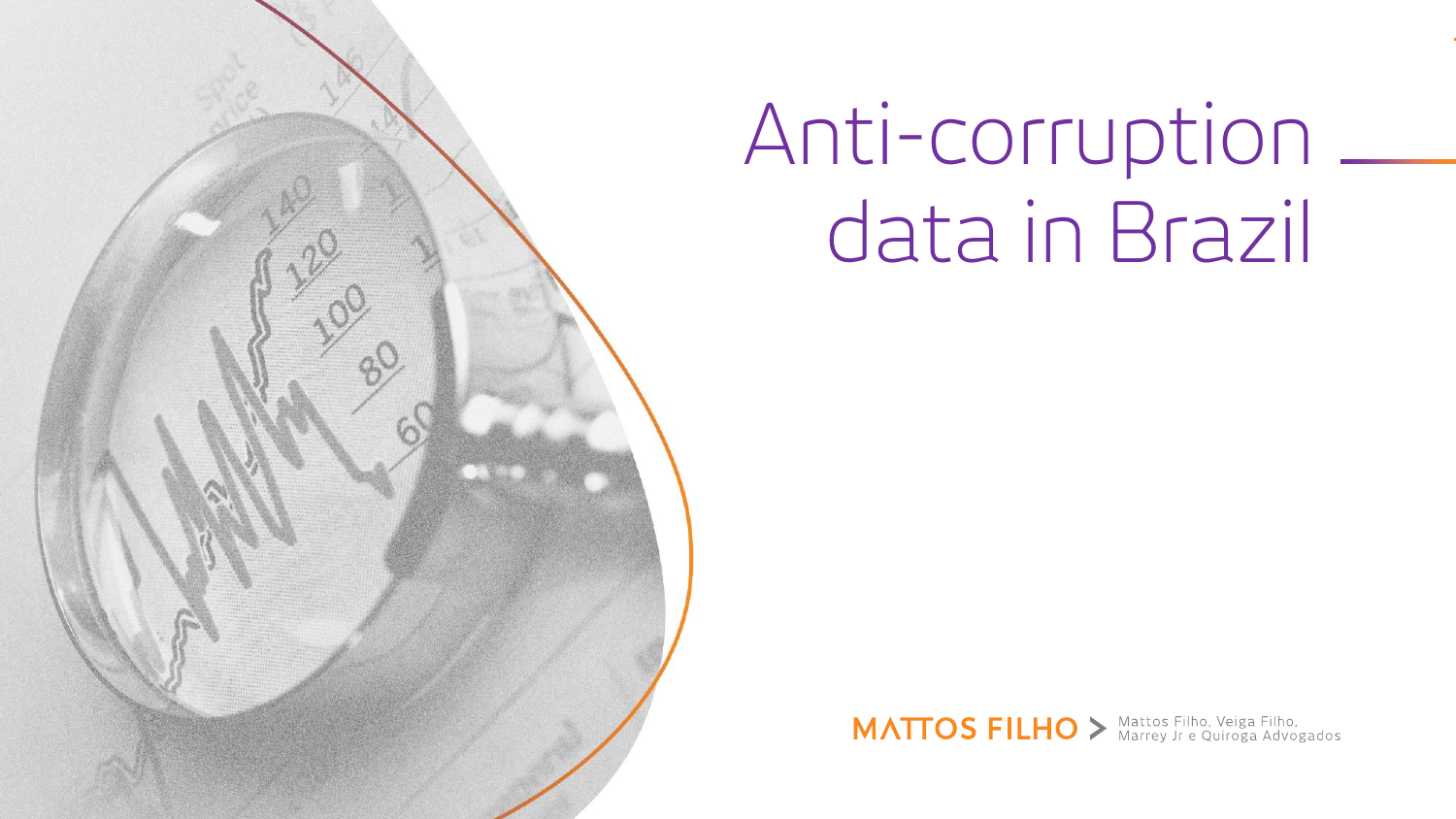

# Anti-corruption data in Brazil

MATTOS FILHO > Mattos Filho, Veiga Filho,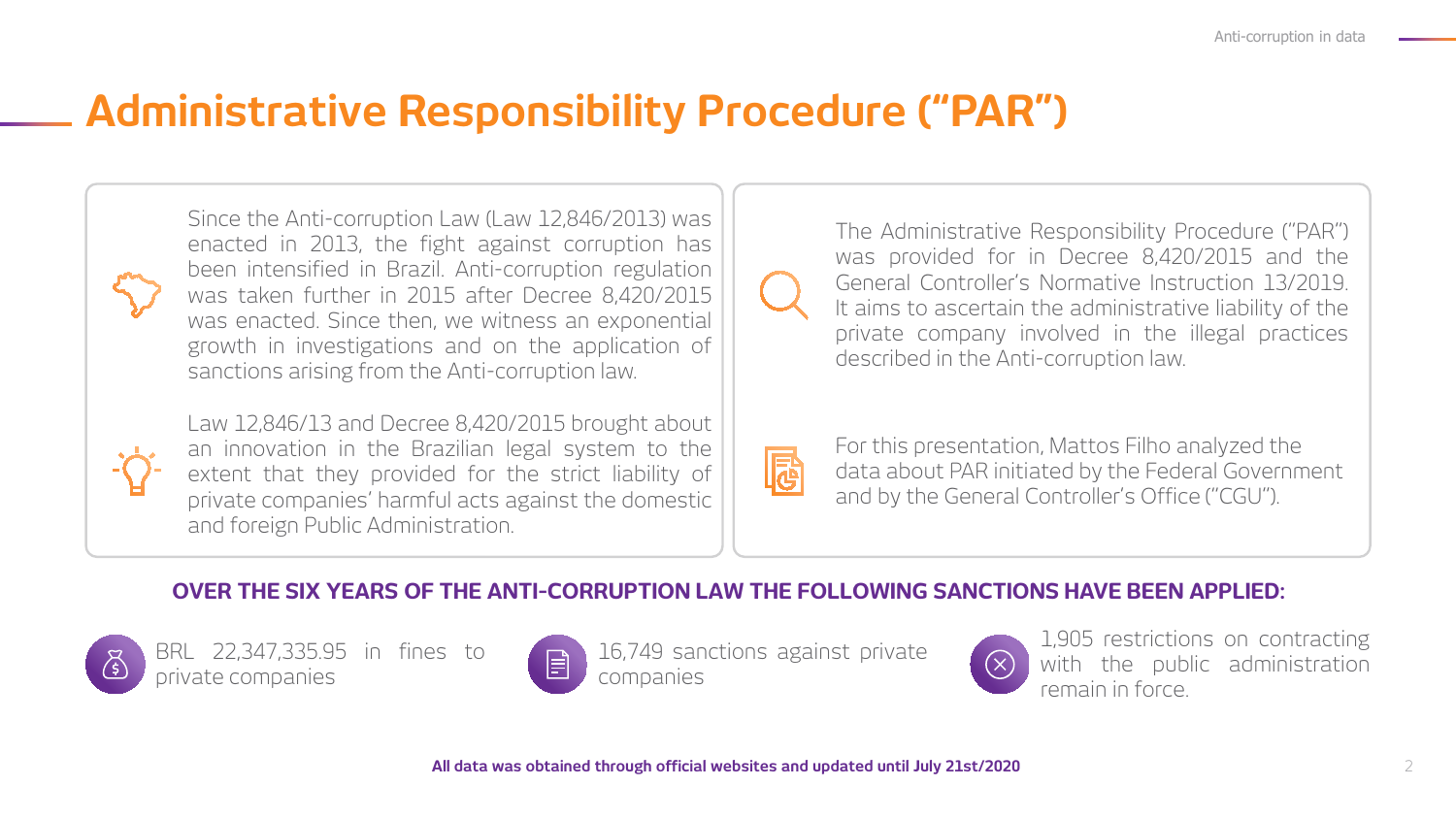### **Administrative Responsibility Procedure ("PAR")**

Since the Anti-corruption Law (Law 12,846/2013) was enacted in 2013, the fight against corruption has been intensified in Brazil. Anti-corruption regulation was taken further in 2015 after Decree 8,420/2015 was enacted. Since then, we witness an exponential growth in investigations and on the application of sanctions arising from the Anti-corruption law.



Law 12,846/13 and Decree 8,420/2015 brought about an innovation in the Brazilian legal system to the extent that they provided for the strict liability of private companies' harmful acts against the domestic and foreign Public Administration.



The Administrative Responsibility Procedure ("PAR") was provided for in Decree 8,420/2015 and the General Controller's Normative Instruction 13/2019. It aims to ascertain the administrative liability of the private company involved in the illegal practices described in the Anti-corruption law.

| $\mathcal{L}(\mathcal{L})$ |  |
|----------------------------|--|

For this presentation, Mattos Filho analyzed the data about PAR initiated by the Federal Government and by the General Controller's Office ("CGU").

#### **OVER THE SIX YEARS OF THE ANTI-CORRUPTION LAW THE FOLLOWING SANCTIONS HAVE BEEN APPLIED:**



BRL 22,347,335.95 in fines to private companies



16,749 sanctions against private companies



1,905 restrictions on contracting with the public administration remain in force.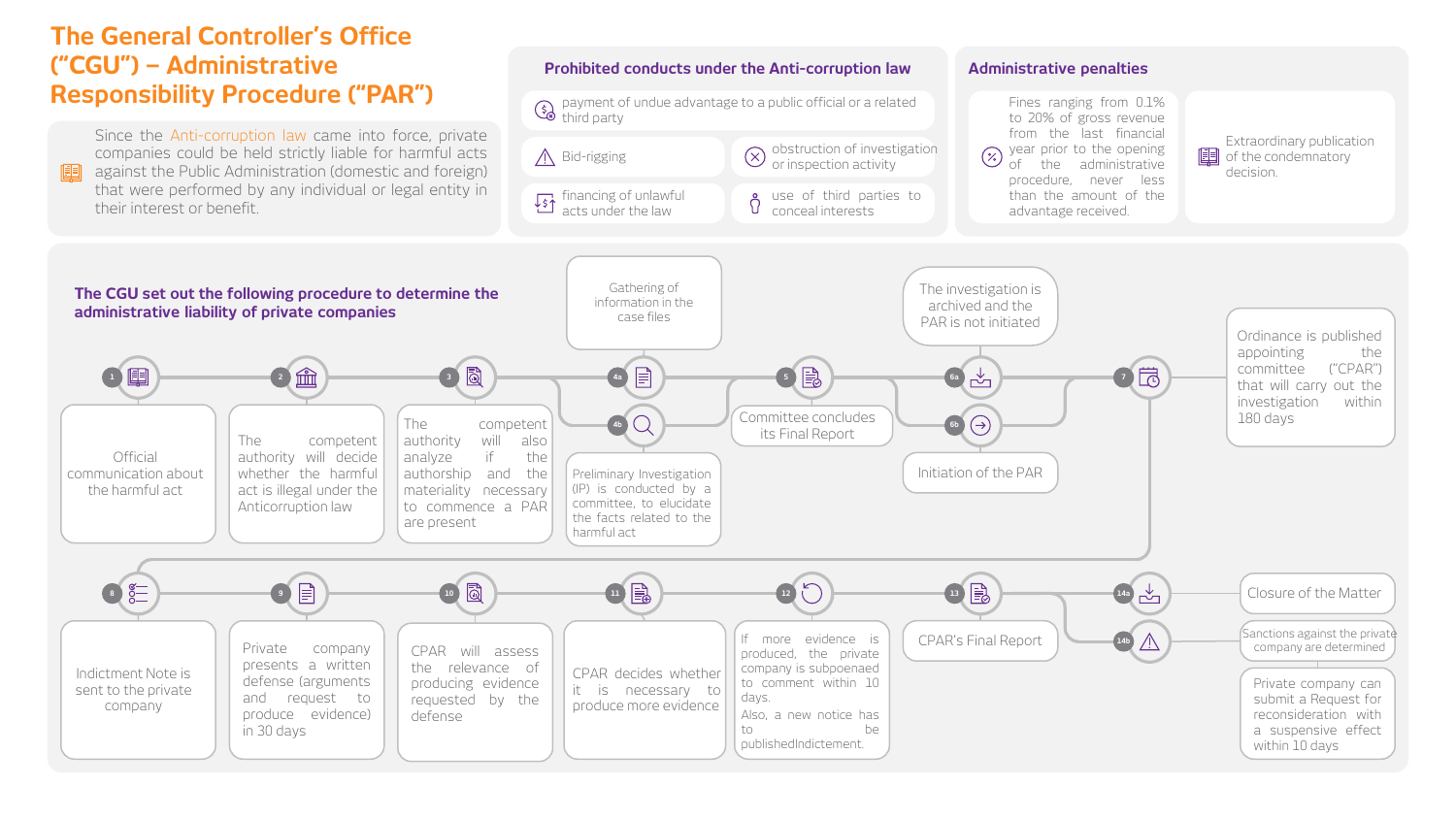#### **The General Controller's Office ("CGU") – Administrative Responsibility Procedure ("PAR")**

**Official** communication about the harmful act

Indictment Note is sent to the private company

Since the Anti-corruption law came into force, private companies could be held strictly liable for harmful acts against the Public Administration (domestic and foreign) that were performed by any individual or legal entity in their interest or benefit.

in 30 days

#### **Prohibited conducts under the Anti-corruption law Administrative penalties** Fines ranging from 0.1% payment of undue advantage to a public official or a related third party to 20% of gross revenue from the last financial Extraordinary publication  $\hat{N}$  Bid-rigging  $\hat{N}$  obstruction of investigation year prior to the opening  $E$  of the condemnatory or inspection activity of the administrative decision. procedure, never less than the amount of the financing of unlawful use of third parties to advantage received. acts under the law conceal interests Gathering of The investigation is **The CGU set out the following procedure to determine the**  information in the archived and the **administrative liability of private companies** case files PAR is not initiated Ordinance is published appointing the 目 committee ("CPAR") **5 6a 7 1 2 3 4a** that will carry out the investigation within The connected Committee concludes Committee concludes **6b**  $\Theta$ 180 days The competent **4b** its Final Report authority will also The competent authority will decide analyze if the Initiation of the PAR whether the harmful authorship and the Preliminary Investigation materiality necessary (IP) is conducted by a act is illegal under the committee, to elucidate Anticorruption law to commence a PAR the facts related to the are present harmful act  $\overline{\mathbb{F}}$ Closure of the Matter **8 9 10 11 12 13 14a**  $CPAR's Final Report$   $\left(\begin{array}{c} \begin{array}{c} \begin{array}{c} \end{array} \\ \begin{array}{c} \end{array} \\ \begin{array}{c} \end{array} \\ \begin{array}{c} \end{array} \\ \begin{array}{c} \end{array} \\ \begin{array}{c} \end{array} \\ \begin{array}{c} \end{array} \\ \end{array} \end{array} \right)$ If more evidence is **14b** Private company CPAR will assess company are determined produced, the private presents a written the relevance of company is subpoenaed CPAR decides whether defense (arguments producing evidence Private company can to comment within 10 it is necessary to and request to requested by the days. submit a Request for . Reo<br>erat<br>nsiv produce more evidence produce evidence) Also, a new notice has defense reconsideration with a suspensive effect

to be publishedIndictement.

within 10 days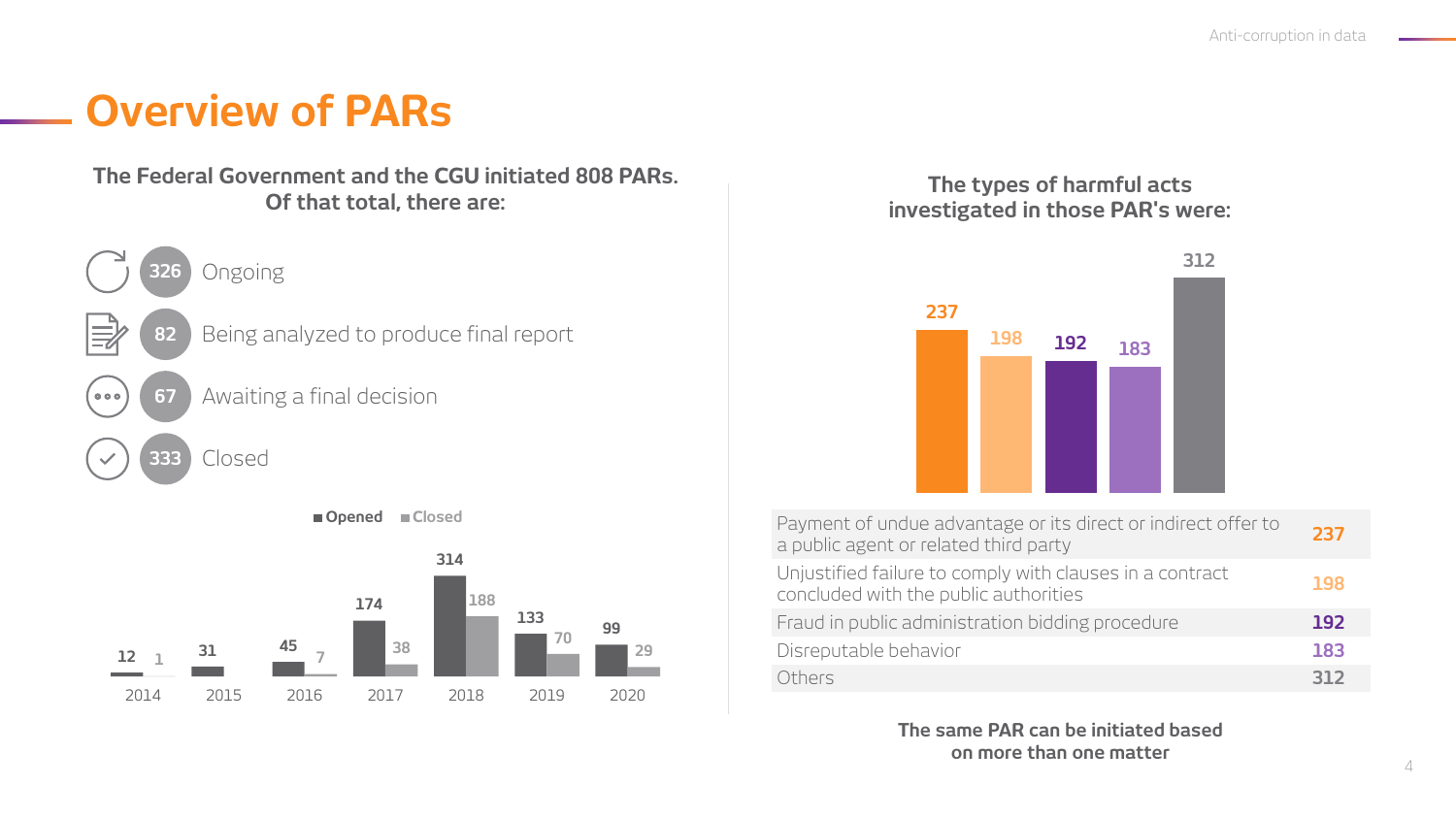### **Overview of PARs**

#### **The Federal Government and the CGU initiated 808 PARs. Of that total, there are:**





**Opened Closed**

#### **The types of harmful acts investigated in those PAR's were:**



| Payment of undue advantage or its direct or indirect offer to<br>a public agent or related third party | 237        |
|--------------------------------------------------------------------------------------------------------|------------|
| Unjustified failure to comply with clauses in a contract<br>concluded with the public authorities      | 198        |
| Fraud in public administration bidding procedure                                                       | <b>192</b> |
| Disreputable behavior                                                                                  | 183        |
| Others                                                                                                 | 312        |

**The same PAR can be initiated based on more than one matter**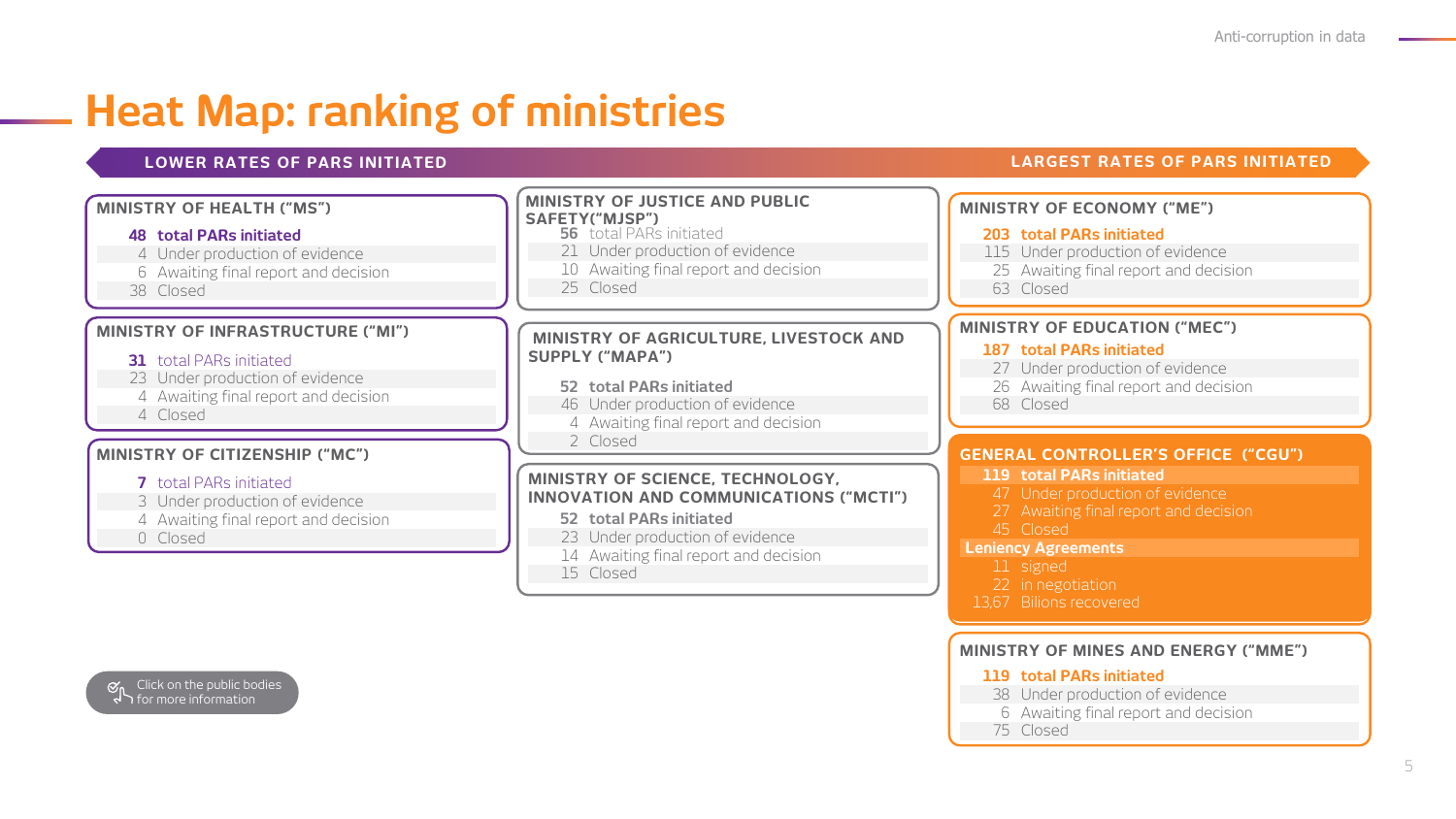## **Heat Map: ranking of ministries**

#### **LOWER RATES OF PARS INITIATED LARGEST RATES OF PARS INITIATED**

#### **MINISTRY OF ECONOMY ("ME") total PARs initiated** Under production of evidence [Awaiting final report and decision](#page-7-0) **MINISTRY OF EDUCATION ("MEC") GENERAL CONTROLLER'S OFFICE ("CGU") MINISTRY OF JUSTICE AND PUBLIC SAFETY("MJSP") MINISTRY OF AGRICULTURE, LIVESTOCK AND SUPPLY ("MAPA") MINISTRY OF SCIENCE, TECHNOLOGY, INNOVATION AND COMMUNICATIONS ("MCTI") MINISTRY OF HEALTH ("MS") MINISTRY OF INFRASTRUCTURE ("MI") MINISTRY OF CITIZENSHIP ("MC") total PARs initiated** Under production of evidence [Awaiting final report and decision](#page-14-0) Closed total PARs initiated 23 Under production of evidence [Awaiting final report and decision](#page-6-0) total PARs initiated Under production of evidence [Awaiting final report and decision](#page-5-0) **total PARs initiated** 23 Under production of evidence **total PARs initiated** Under production of evidence [Awaiting final report and decision](#page-9-0) Closed total PARs initiated 21 Under production of evidence [Awaiting final report and decision](#page-8-0) Closed **total PARs initiated** Under production of evidence [Awaiting final report and decision](#page-13-0) Closed **total PARs initiated** Under production of evidence [Awaiting final report and decision](#page-12-0) Closed

[Awaiting final report and decision](#page-10-0)

Closed

Closed

Closed

Closed

#### **Leniency Agreements**

- signed
- 22 in negotiation
- 13,67 Bilions recovered

#### **MINISTRY OF MINES AND ENERGY ("MME")**

#### **total PARs initiated**

- Under production of evidence
- [Awaiting final report and decision](#page-11-0)
- Closed

Click on the public bodies for more information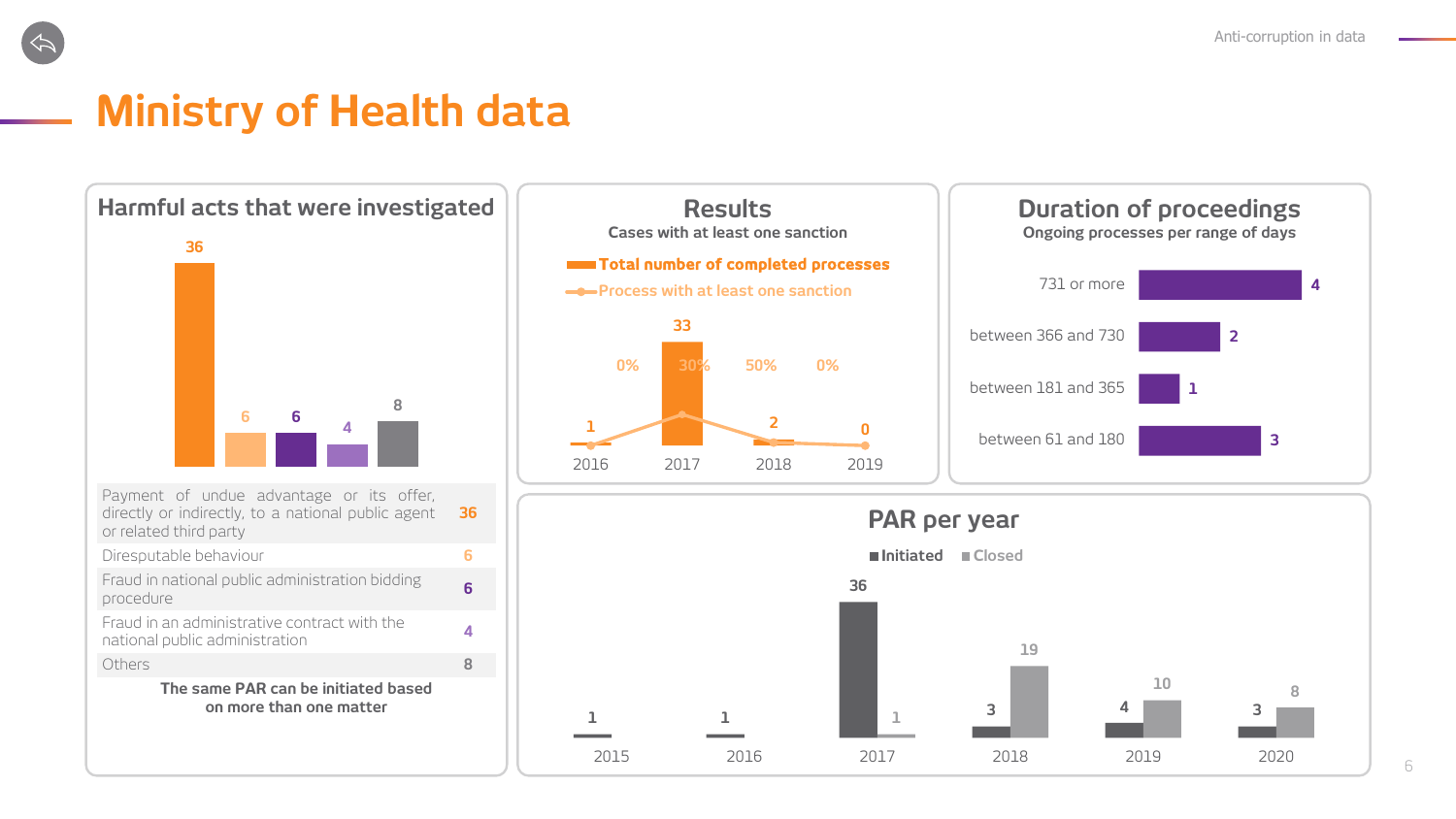## <span id="page-5-0"></span>**Ministry of Health data**









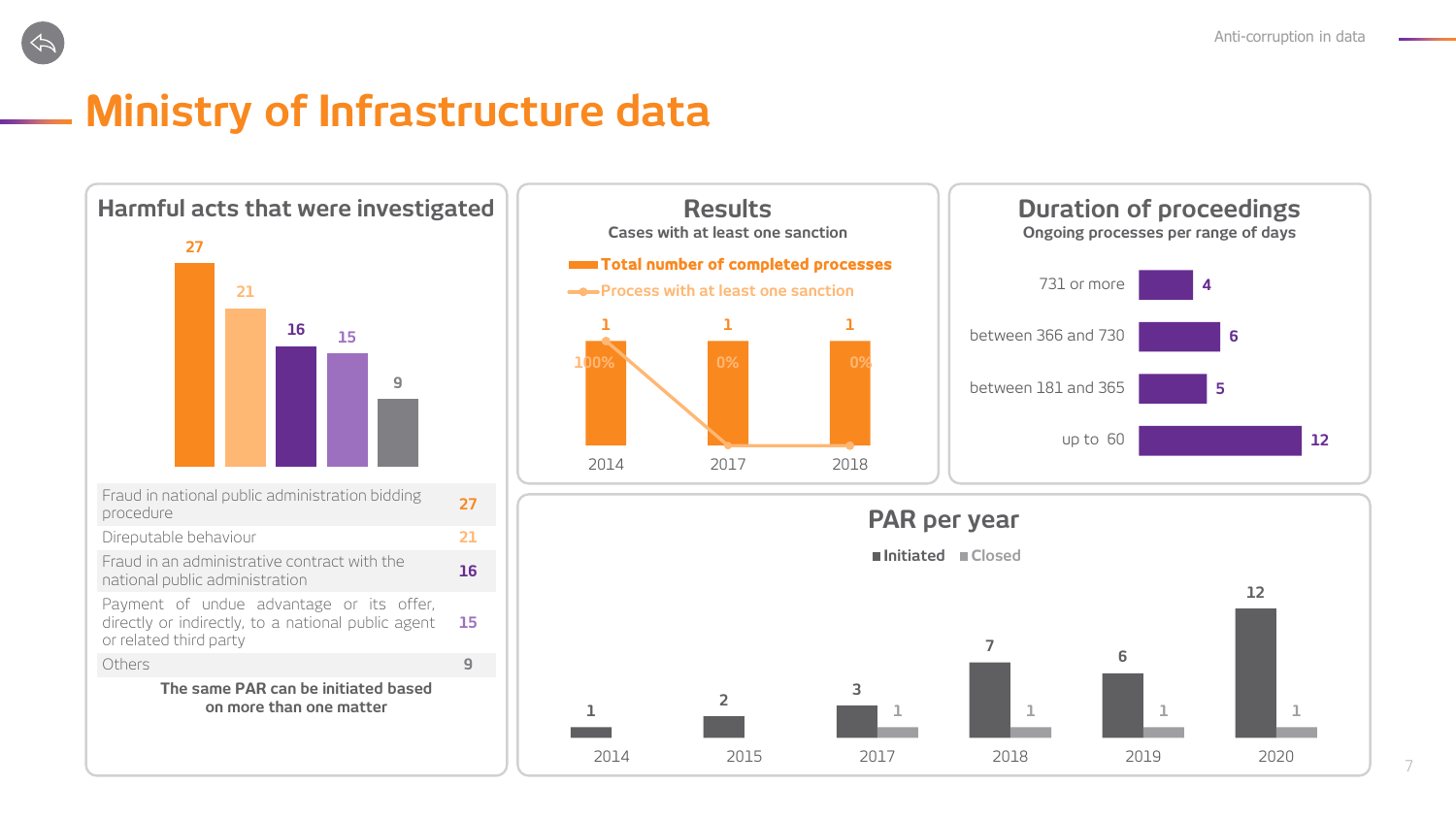<span id="page-6-0"></span>

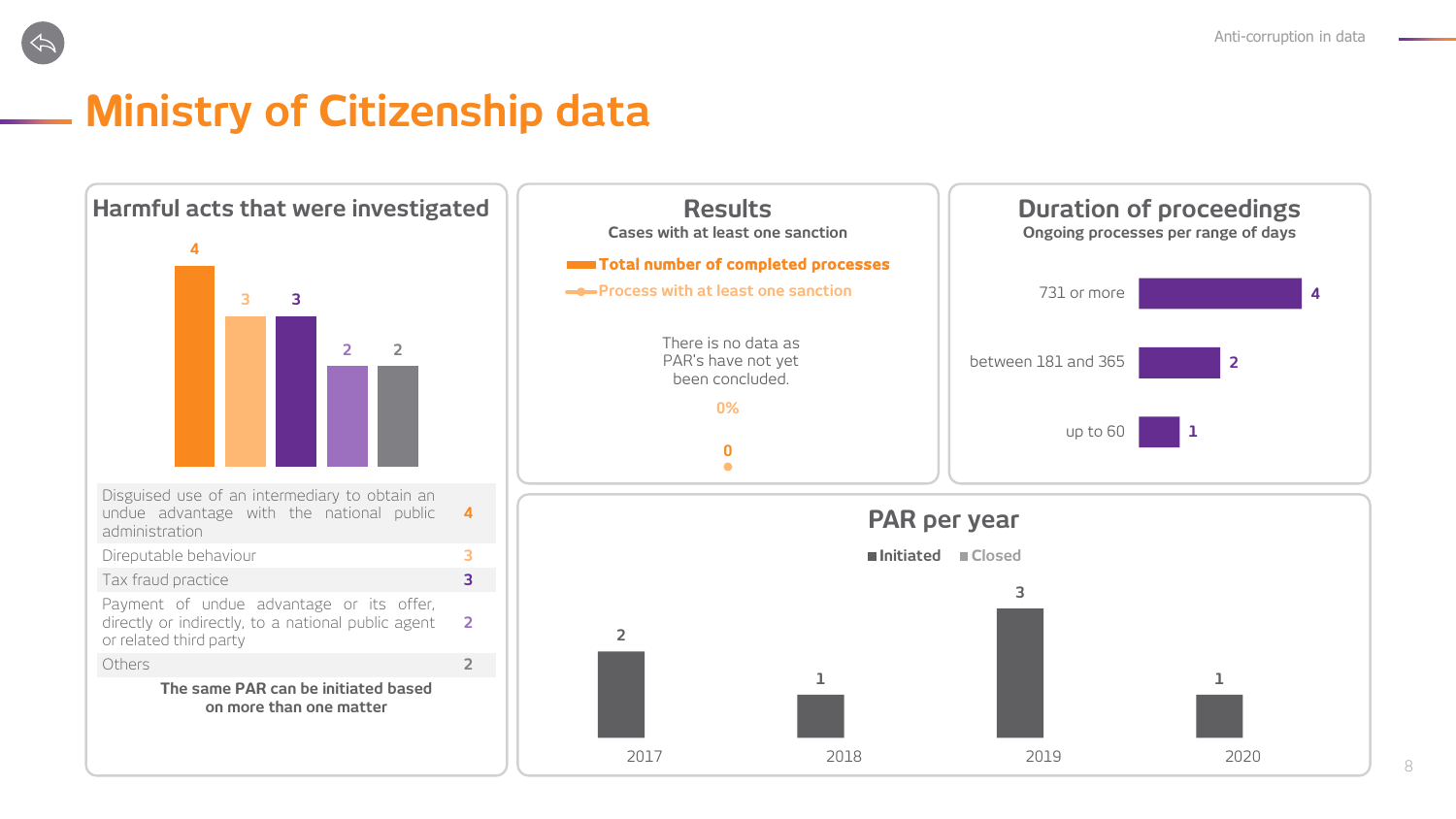<span id="page-7-0"></span>

# **Ministry of Citizenship data**

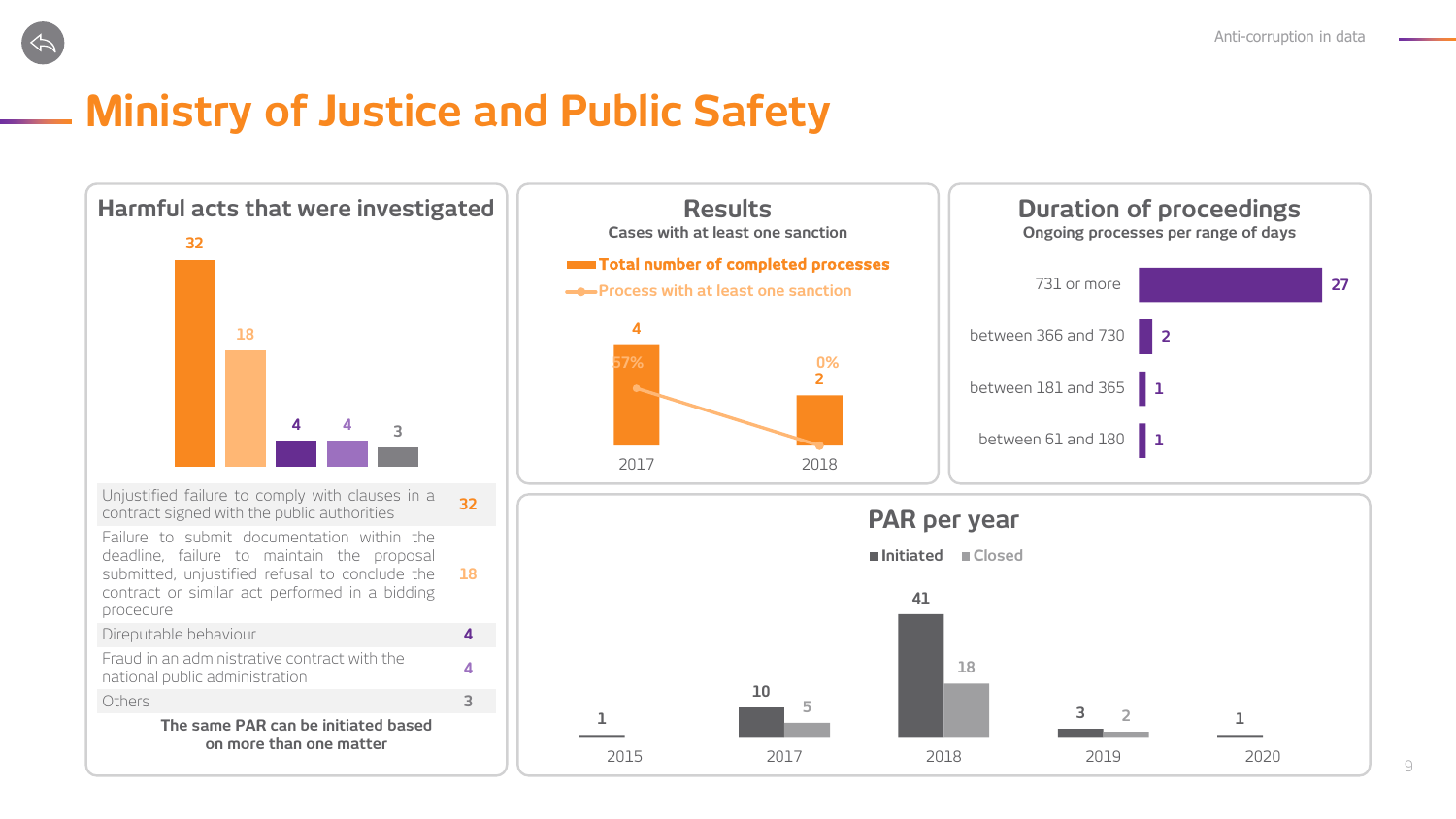<span id="page-8-0"></span>

Direputable behaviour **4**

national public administration **<sup>4</sup>** Others **3 The same PAR can be initiated based on more than one matter**

Fraud in an administrative contract with the

**Harmful** acts that were investigated  $\|$  **Results Duration** of proceedings **Cases with at least one sanction Direction Ongoing processes per range of days PAR per year 32 18 4 4 3** Unjustified failure to comply with clauses in a contract signed with the public authorities **<sup>32</sup>** Failure to submit documentation within the deadline, failure to maintain the proposal submitted, unjustified refusal to conclude the contract or similar act performed in a bidding procedure **18 27 2 1 1** 731 or more between 366 and 730 between 181 and 365 between 61 and 180 **41 Initiated Closed 4 2** 2017 2018 **Total number of completed processes - Process with at least one sanction 57% 0%**

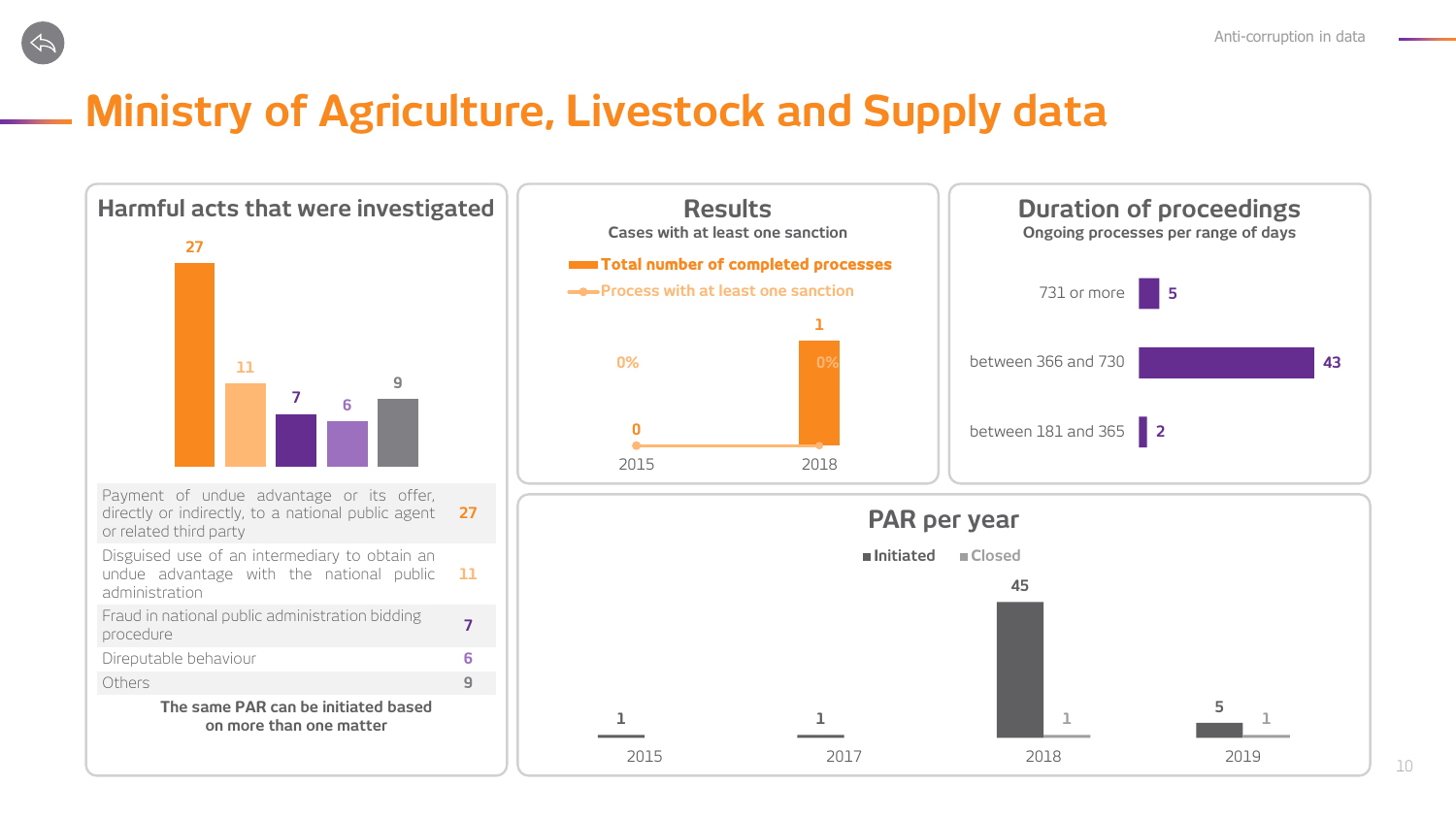# <span id="page-9-0"></span>**Ministry of Agriculture, Livestock and Supply data**

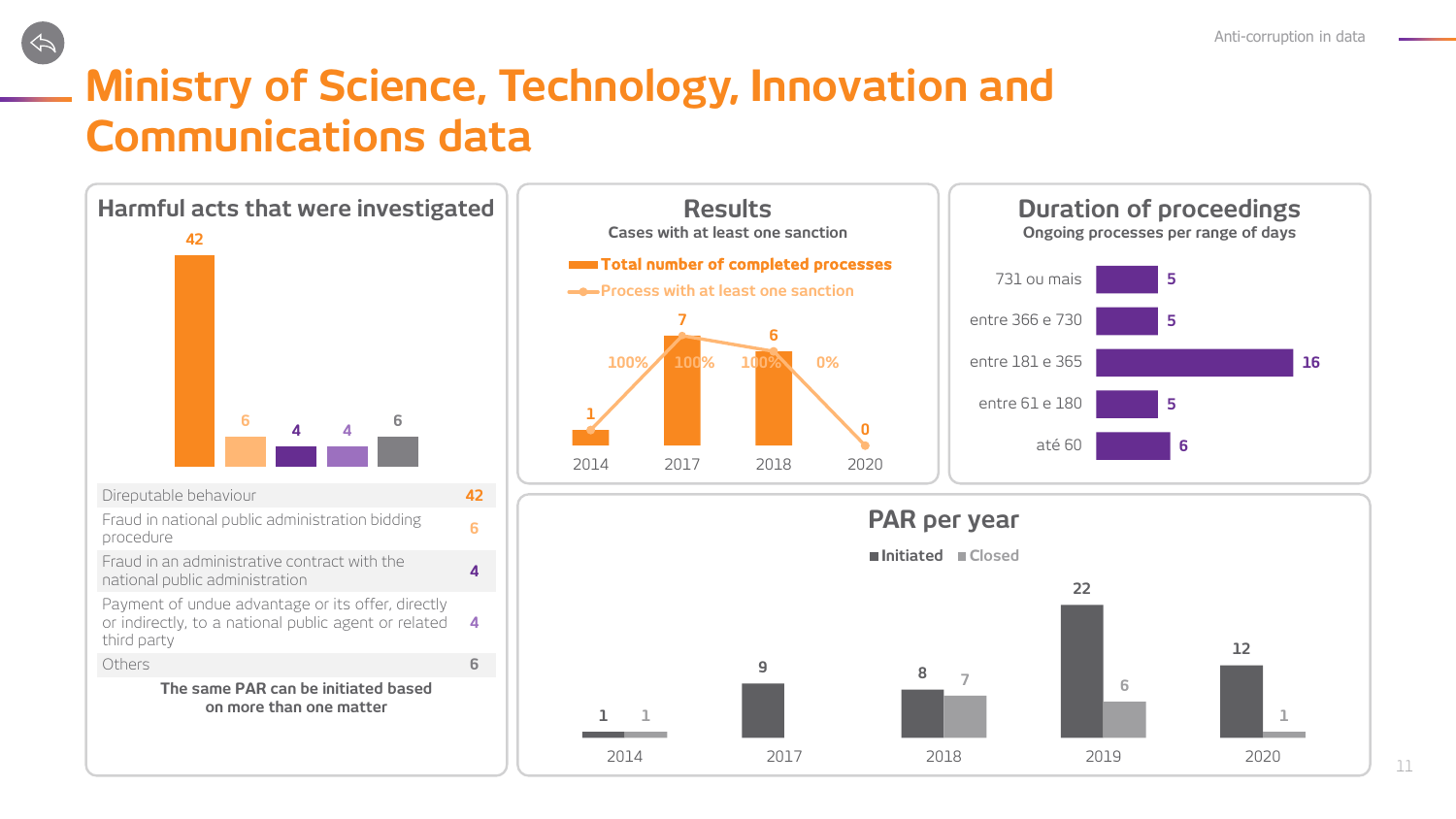# <span id="page-10-0"></span>**Ministry of Science, Technology, Innovation and Communications data**

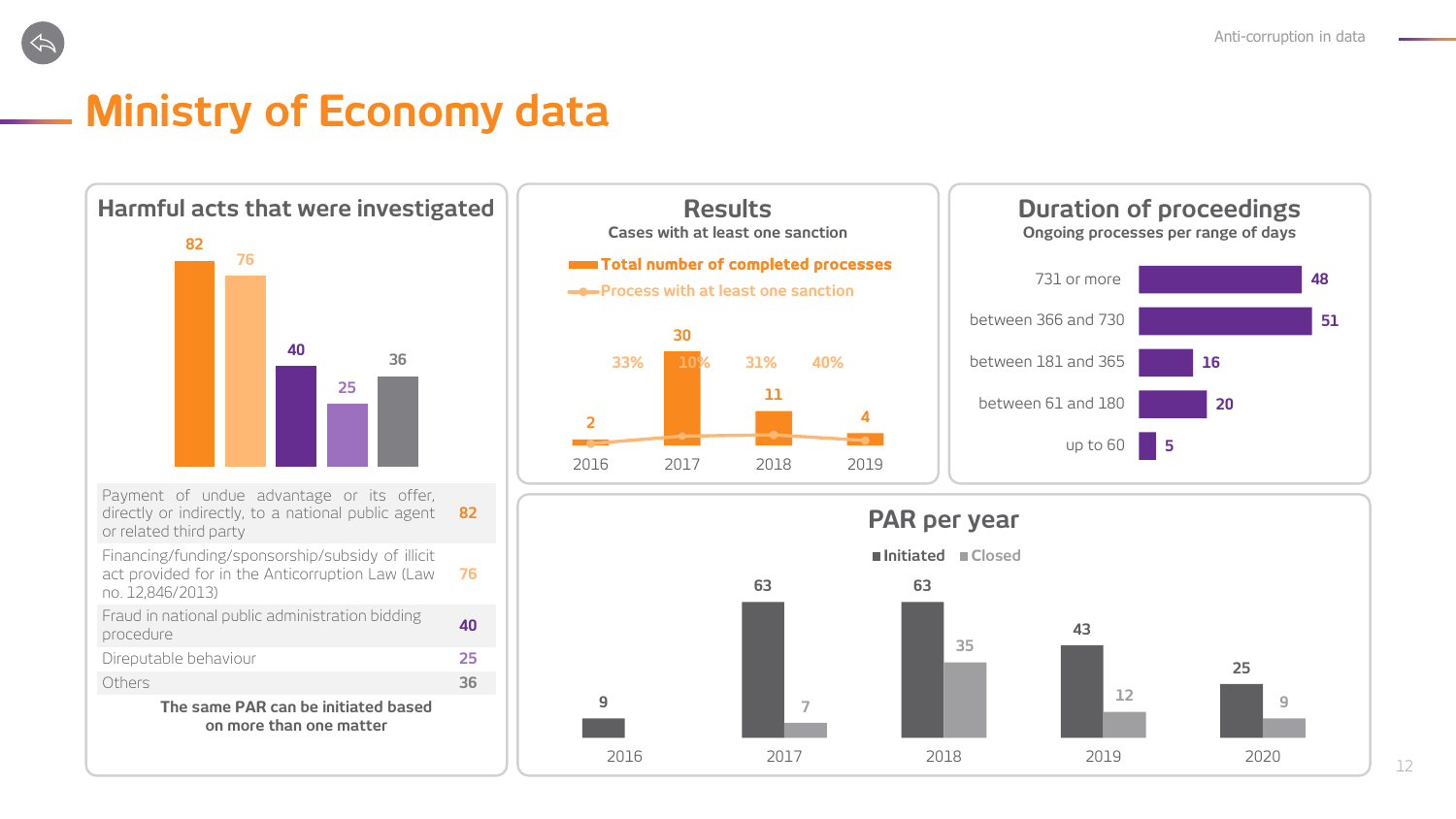## <span id="page-11-0"></span>**Ministry of Economy data**







**9**



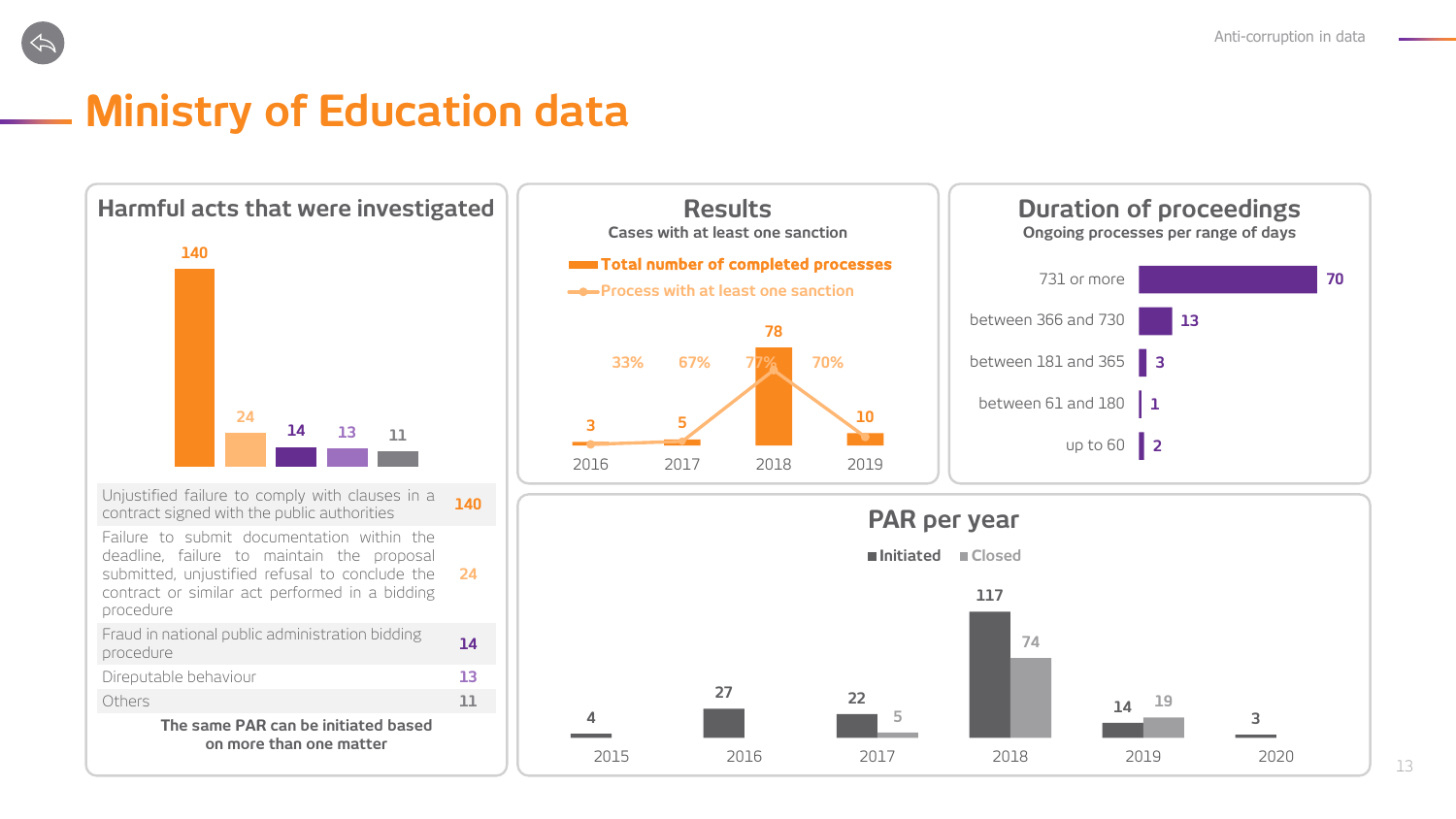## <span id="page-12-0"></span>**Ministry of Education data**









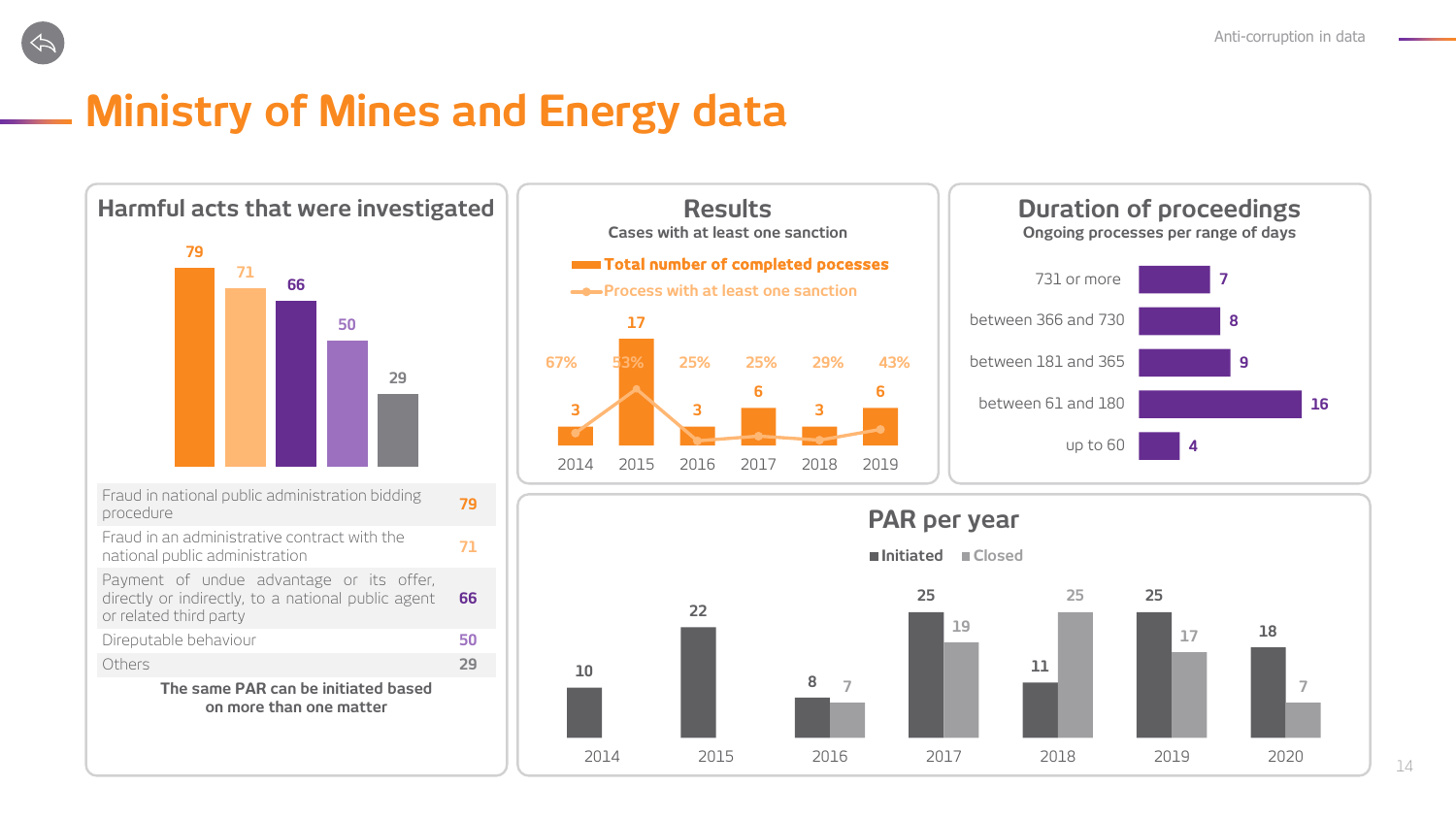<span id="page-13-0"></span>

# **Ministry of Mines and Energy data**





**10**



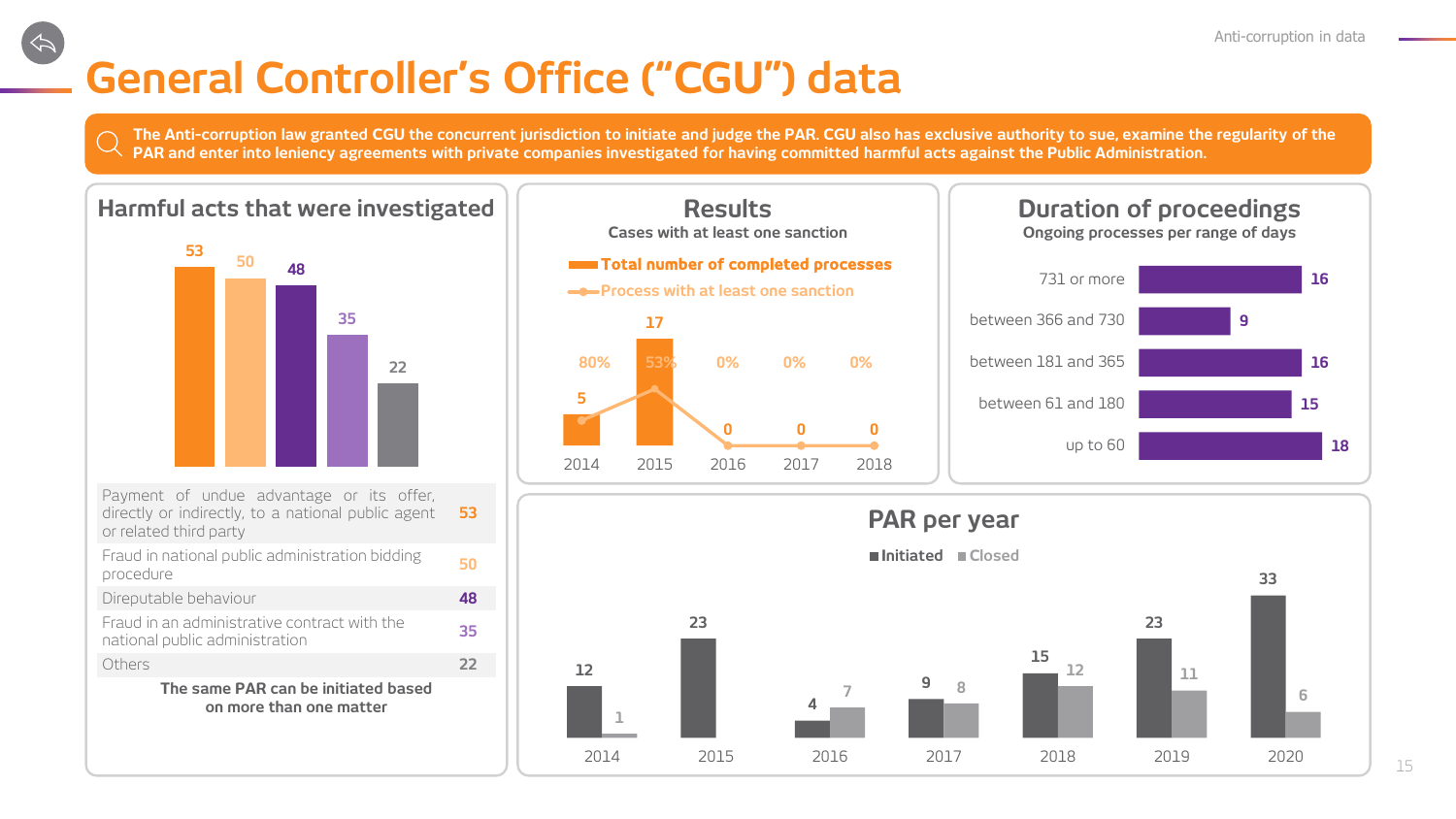# <span id="page-14-0"></span>**General Controller's Office ("CGU") data**

**12**

**The Anti-corruption law granted CGU the concurrent jurisdiction to initiate and judge the PAR. CGU also has exclusive authority to sue, examine the regularity of the PAR and enter into leniency agreements with private companies investigated for having committed harmful acts against the Public Administration.** 

#### **Harmful** acts that were investigated  $\|$  **Results Duration** of proceedings



| Payment of undue advantage or its offer,<br>directly or indirectly, to a national public agent<br>or related third party | 53            |
|--------------------------------------------------------------------------------------------------------------------------|---------------|
| Fraud in national public administration bidding<br>procedure                                                             |               |
| Direputable behaviour                                                                                                    |               |
| Fraud in an administrative contract with the<br>national public administration                                           |               |
| Others                                                                                                                   | $\mathcal{D}$ |
| The same PAR can be initiated based<br>on more than one matter                                                           |               |





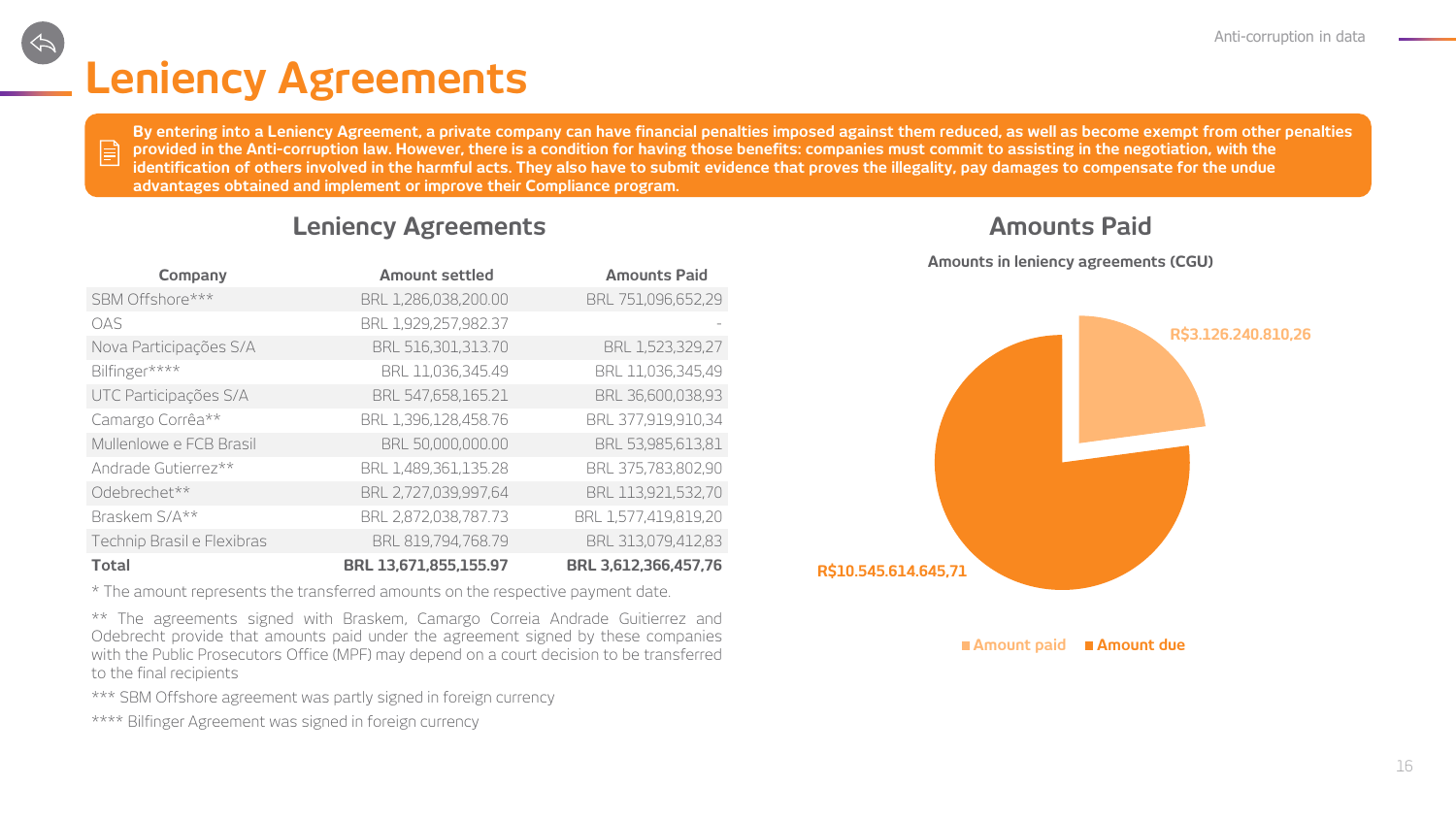# **Leniency Agreements**

 $\mathbf{E}$ 

By entering into a Leniency Agreement, a private company can have financial penalties imposed against them reduced, as well as become exempt from other penalties **provided in the Anti-corruption law. However, there is a condition for having those benefits: companies must commit to assisting in the negotiation, with the identification of others involved in the harmful acts. They also have to submit evidence that proves the illegality, pay damages to compensate for the undue advantages obtained and implement or improve their Compliance program.**

#### **Leniency Agreements Amounts Paid**

| Company                    | <b>Amount settled</b> | <b>Amounts Paid</b>  |
|----------------------------|-----------------------|----------------------|
| SBM Offshore***            | BRL 1,286,038,200.00  | BRL 751,096,652,29   |
| OAS                        | BRL 1,929,257,982.37  |                      |
| Nova Participações S/A     | BRL 516,301,313.70    | BRL 1,523,329,27     |
| Bilfinger****              | BRL 11,036,345.49     | BRL 11,036,345,49    |
| UTC Participações S/A      | BRL 547,658,165.21    | BRL 36,600,038,93    |
| Camargo Corrêa**           | BRL 1,396,128,458.76  | BRL 377,919,910,34   |
| Mullenlowe e FCB Brasil    | BRL 50,000,000.00     | BRL 53,985,613,81    |
| Andrade Gutierrez**        | BRL 1,489,361,135.28  | BRL 375,783,802,90   |
| Odebrechet**               | BRL 2,727,039,997,64  | BRL 113,921,532,70   |
| Braskem S/A**              | BRL 2,872,038,787.73  | BRL 1,577,419,819,20 |
| Technip Brasil e Flexibras | BRL 819,794,768.79    | BRL 313,079,412,83   |
| <b>Total</b>               | BRL 13,671,855,155.97 | BRL 3,612,366,457,76 |

\* The amount represents the transferred amounts on the respective payment date.

\*\* The agreements signed with Braskem, Camargo Correia Andrade Guitierrez and Odebrecht provide that amounts paid under the agreement signed by these companies with the Public Prosecutors Office (MPF) may depend on a court decision to be transferred to the final recipients

\*\*\* SBM Offshore agreement was partly signed in foreign currency

\*\*\*\* Bilfinger Agreement was signed in foreign currency



**Amounts in leniency agreements (CGU)**